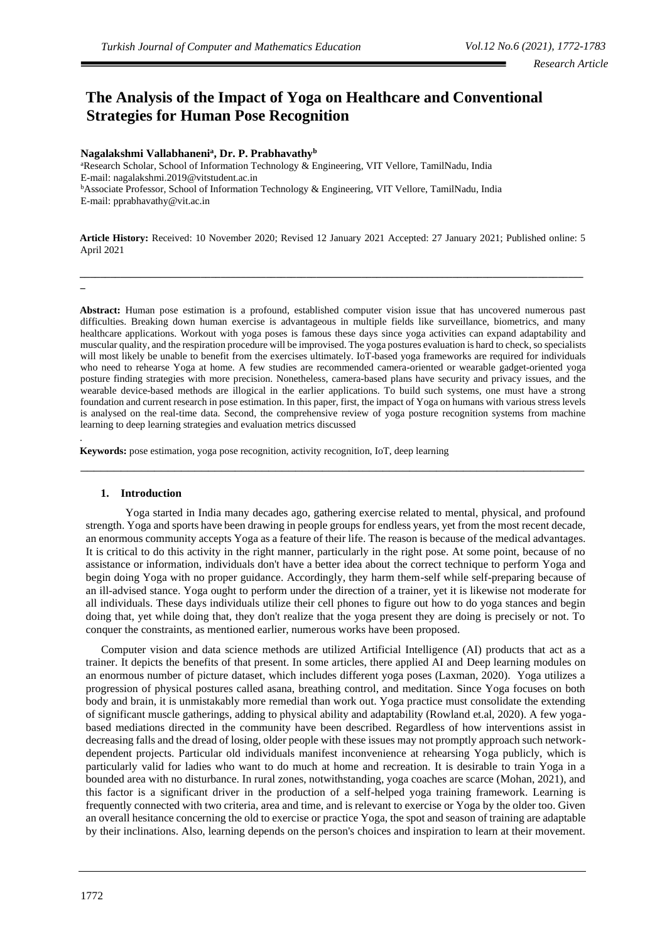# **The Analysis of the Impact of Yoga on Healthcare and Conventional Strategies for Human Pose Recognition**

## **Nagalakshmi Vallabhaneni<sup>a</sup> , Dr. P. Prabhavathy<sup>b</sup>**

<sup>a</sup>Research Scholar, School of Information Technology & Engineering, VIT Vellore, TamilNadu, India E-mail[: nagalakshmi.2019@vitstudent.ac.in](mailto:nagalakshmi.2019@vitstudent.ac.in) <sup>b</sup>Associate Professor, School of Information Technology & Engineering, VIT Vellore, TamilNadu, India E-mail: [pprabhavathy@vit.ac.in](mailto:pprabhavathy@vit.ac.in)

**Article History:** Received: 10 November 2020; Revised 12 January 2021 Accepted: 27 January 2021; Published online: 5 April 2021

**\_\_\_\_\_\_\_\_\_\_\_\_\_\_\_\_\_\_\_\_\_\_\_\_\_\_\_\_\_\_\_\_\_\_\_\_\_\_\_\_\_\_\_\_\_\_\_\_\_\_\_\_\_\_\_\_\_\_\_\_\_\_\_\_\_\_\_\_\_\_\_\_\_\_\_\_\_\_\_\_\_\_\_\_\_\_\_\_\_\_\_\_\_\_\_\_\_\_\_\_**

**\_**

.

**Abstract:** Human pose estimation is a profound, established computer vision issue that has uncovered numerous past difficulties. Breaking down human exercise is advantageous in multiple fields like surveillance, biometrics, and many healthcare applications. Workout with yoga poses is famous these days since yoga activities can expand adaptability and muscular quality, and the respiration procedure will be improvised. The yoga postures evaluation is hard to check, so specialists will most likely be unable to benefit from the exercises ultimately. IoT-based yoga frameworks are required for individuals who need to rehearse Yoga at home. A few studies are recommended camera-oriented or wearable gadget-oriented yoga posture finding strategies with more precision. Nonetheless, camera-based plans have security and privacy issues, and the wearable device-based methods are illogical in the earlier applications. To build such systems, one must have a strong foundation and current research in pose estimation. In this paper, first, the impact of Yoga on humans with various stress levels is analysed on the real-time data. Second, the comprehensive review of yoga posture recognition systems from machine learning to deep learning strategies and evaluation metrics discussed

\_\_\_\_\_\_\_\_\_\_\_\_\_\_\_\_\_\_\_\_\_\_\_\_\_\_\_\_\_\_\_\_\_\_\_\_\_\_\_\_\_\_\_\_\_\_\_\_\_\_\_\_\_\_\_\_\_\_\_\_\_\_\_\_\_\_\_\_\_\_\_\_\_\_\_

**Keywords:** pose estimation, yoga pose recognition, activity recognition, IoT, deep learning

#### **1. Introduction**

Yoga started in India many decades ago, gathering exercise related to mental, physical, and profound strength. Yoga and sports have been drawing in people groups for endless years, yet from the most recent decade, an enormous community accepts Yoga as a feature of their life. The reason is because of the medical advantages. It is critical to do this activity in the right manner, particularly in the right pose. At some point, because of no assistance or information, individuals don't have a better idea about the correct technique to perform Yoga and begin doing Yoga with no proper guidance. Accordingly, they harm them-self while self-preparing because of an ill-advised stance. Yoga ought to perform under the direction of a trainer, yet it is likewise not moderate for all individuals. These days individuals utilize their cell phones to figure out how to do yoga stances and begin doing that, yet while doing that, they don't realize that the yoga present they are doing is precisely or not. To conquer the constraints, as mentioned earlier, numerous works have been proposed.

Computer vision and data science methods are utilized Artificial Intelligence (AI) products that act as a trainer. It depicts the benefits of that present. In some articles, there applied AI and Deep learning modules on an enormous number of picture dataset, which includes different yoga poses (Laxman, 2020). Yoga utilizes a progression of physical postures called asana, breathing control, and meditation. Since Yoga focuses on both body and brain, it is unmistakably more remedial than work out. Yoga practice must consolidate the extending of significant muscle gatherings, adding to physical ability and adaptability (Rowland et.al, 2020). A few yogabased mediations directed in the community have been described. Regardless of how interventions assist in decreasing falls and the dread of losing, older people with these issues may not promptly approach such networkdependent projects. Particular old individuals manifest inconvenience at rehearsing Yoga publicly, which is particularly valid for ladies who want to do much at home and recreation. It is desirable to train Yoga in a bounded area with no disturbance. In rural zones, notwithstanding, yoga coaches are scarce (Mohan, 2021), and this factor is a significant driver in the production of a self-helped yoga training framework. Learning is frequently connected with two criteria, area and time, and is relevant to exercise or Yoga by the older too. Given an overall hesitance concerning the old to exercise or practice Yoga, the spot and season of training are adaptable by their inclinations. Also, learning depends on the person's choices and inspiration to learn at their movement.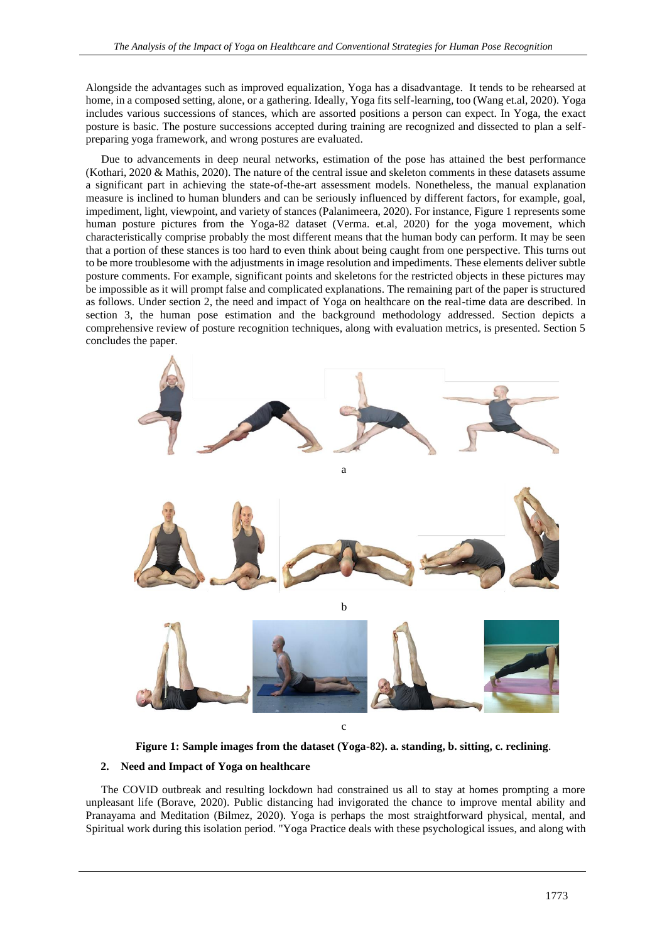Alongside the advantages such as improved equalization, Yoga has a disadvantage. It tends to be rehearsed at home, in a composed setting, alone, or a gathering. Ideally, Yoga fits self-learning, too (Wang et.al, 2020). Yoga includes various successions of stances, which are assorted positions a person can expect. In Yoga, the exact posture is basic. The posture successions accepted during training are recognized and dissected to plan a selfpreparing yoga framework, and wrong postures are evaluated.

Due to advancements in deep neural networks, estimation of the pose has attained the best performance (Kothari, 2020 & Mathis, 2020). The nature of the central issue and skeleton comments in these datasets assume a significant part in achieving the state-of-the-art assessment models. Nonetheless, the manual explanation measure is inclined to human blunders and can be seriously influenced by different factors, for example, goal, impediment, light, viewpoint, and variety of stances (Palanimeera, 2020). For instance, Figure 1 represents some human posture pictures from the Yoga-82 dataset (Verma. et.al, 2020) for the yoga movement, which characteristically comprise probably the most different means that the human body can perform. It may be seen that a portion of these stances is too hard to even think about being caught from one perspective. This turns out to be more troublesome with the adjustments in image resolution and impediments. These elements deliver subtle posture comments. For example, significant points and skeletons for the restricted objects in these pictures may be impossible as it will prompt false and complicated explanations. The remaining part of the paper is structured as follows. Under section 2, the need and impact of Yoga on healthcare on the real-time data are described. In section 3, the human pose estimation and the background methodology addressed. Section depicts a comprehensive review of posture recognition techniques, along with evaluation metrics, is presented. Section 5 concludes the paper.



**Figure 1: Sample images from the dataset (Yoga-82). a. standing, b. sitting, c. reclining**.

## **2. Need and Impact of Yoga on healthcare**

The COVID outbreak and resulting lockdown had constrained us all to stay at homes prompting a more unpleasant life (Borave, 2020). Public distancing had invigorated the chance to improve mental ability and Pranayama and Meditation (Bilmez, 2020). Yoga is perhaps the most straightforward physical, mental, and Spiritual work during this isolation period. "Yoga Practice deals with these psychological issues, and along with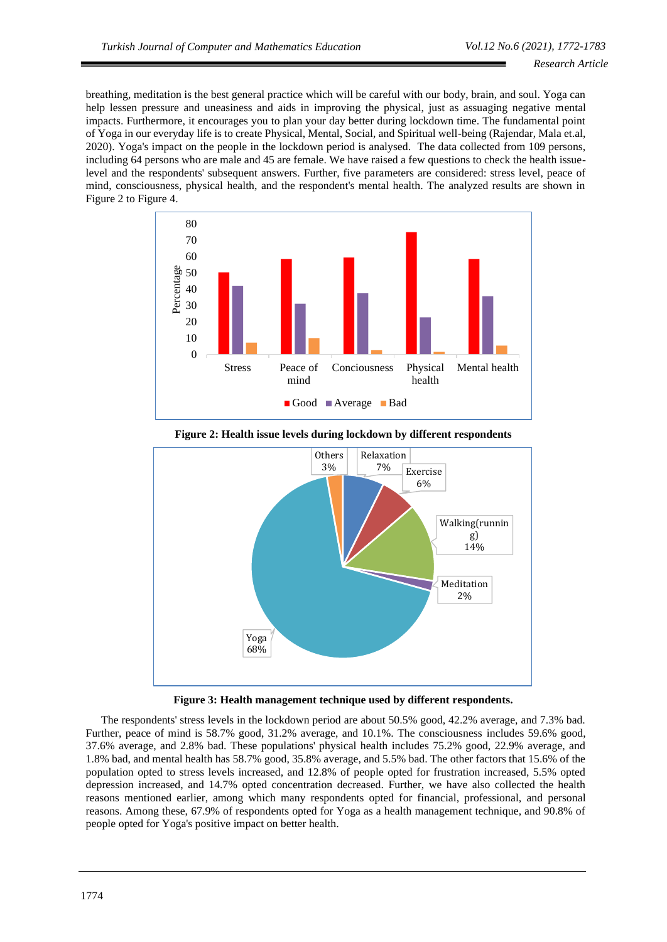breathing, meditation is the best general practice which will be careful with our body, brain, and soul. Yoga can help lessen pressure and uneasiness and aids in improving the physical, just as assuaging negative mental impacts. Furthermore, it encourages you to plan your day better during lockdown time. The fundamental point of Yoga in our everyday life is to create Physical, Mental, Social, and Spiritual well-being (Rajendar, Mala et.al, 2020). Yoga's impact on the people in the lockdown period is analysed. The data collected from 109 persons, including 64 persons who are male and 45 are female. We have raised a few questions to check the health issuelevel and the respondents' subsequent answers. Further, five parameters are considered: stress level, peace of mind, consciousness, physical health, and the respondent's mental health. The analyzed results are shown in Figure 2 to Figure 4.





**Figure 2: Health issue levels during lockdown by different respondents**

**Figure 3: Health management technique used by different respondents.**

The respondents' stress levels in the lockdown period are about 50.5% good, 42.2% average, and 7.3% bad. Further, peace of mind is 58.7% good, 31.2% average, and 10.1%. The consciousness includes 59.6% good, 37.6% average, and 2.8% bad. These populations' physical health includes 75.2% good, 22.9% average, and 1.8% bad, and mental health has 58.7% good, 35.8% average, and 5.5% bad. The other factors that 15.6% of the population opted to stress levels increased, and 12.8% of people opted for frustration increased, 5.5% opted depression increased, and 14.7% opted concentration decreased. Further, we have also collected the health reasons mentioned earlier, among which many respondents opted for financial, professional, and personal reasons. Among these, 67.9% of respondents opted for Yoga as a health management technique, and 90.8% of people opted for Yoga's positive impact on better health.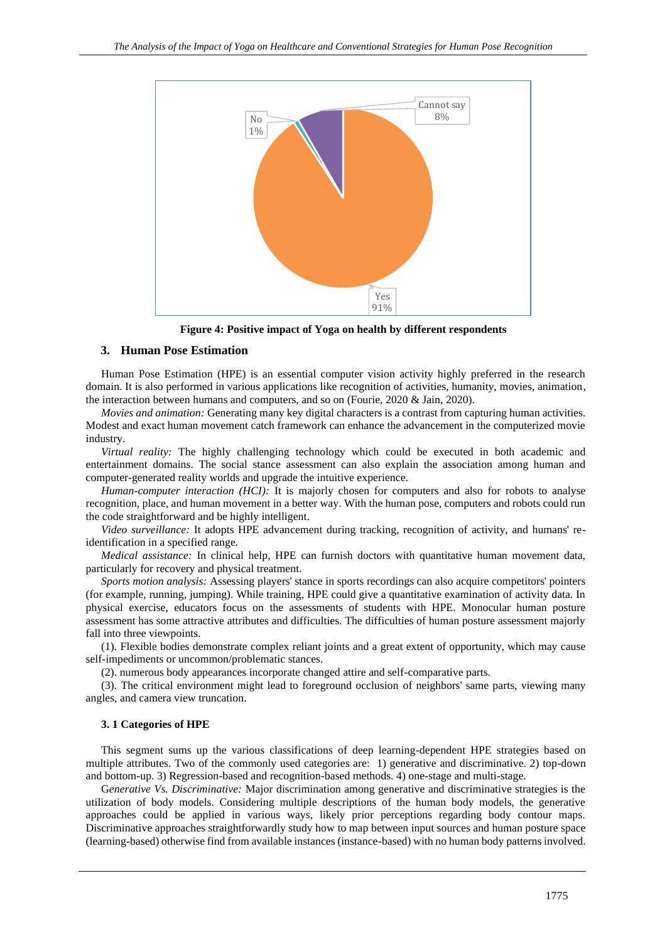

**Figure 4: Positive impact of Yoga on health by different respondents**

## **3. Human Pose Estimation**

Human Pose Estimation (HPE) is an essential computer vision activity highly preferred in the research domain. It is also performed in various applications like recognition of activities, humanity, movies, animation, the interaction between humans and computers, and so on (Fourie, 2020 & Jain, 2020).

*Movies and animation:* Generating many key digital characters is a contrast from capturing human activities. Modest and exact human movement catch framework can enhance the advancement in the computerized movie industry.

*Virtual reality:* The highly challenging technology which could be executed in both academic and entertainment domains. The social stance assessment can also explain the association among human and computer-generated reality worlds and upgrade the intuitive experience.

*Human-computer interaction (HCI):* It is majorly chosen for computers and also for robots to analyse recognition, place, and human movement in a better way. With the human pose, computers and robots could run the code straightforward and be highly intelligent.

*Video surveillance:* It adopts HPE advancement during tracking, recognition of activity, and humans' reidentification in a specified range.

*Medical assistance:* In clinical help, HPE can furnish doctors with quantitative human movement data, particularly for recovery and physical treatment.

*Sports motion analysis:* Assessing players' stance in sports recordings can also acquire competitors' pointers (for example, running, jumping). While training, HPE could give a quantitative examination of activity data. In physical exercise, educators focus on the assessments of students with HPE. Monocular human posture assessment has some attractive attributes and difficulties. The difficulties of human posture assessment majorly fall into three viewpoints.

(1). Flexible bodies demonstrate complex reliant joints and a great extent of opportunity, which may cause self-impediments or uncommon/problematic stances.

(2). numerous body appearances incorporate changed attire and self-comparative parts.

(3). The critical environment might lead to foreground occlusion of neighbors' same parts, viewing many angles, and camera view truncation.

## **3. 1 Categories of HPE**

This segment sums up the various classifications of deep learning-dependent HPE strategies based on multiple attributes. Two of the commonly used categories are: 1) generative and discriminative. 2) top-down and bottom-up. 3) Regression-based and recognition-based methods. 4) one-stage and multi-stage.

G*enerative Vs. Discriminative:* Major discrimination among generative and discriminative strategies is the utilization of body models. Considering multiple descriptions of the human body models, the generative approaches could be applied in various ways, likely prior perceptions regarding body contour maps. Discriminative approaches straightforwardly study how to map between input sources and human posture space (learning-based) otherwise find from available instances (instance-based) with no human body patterns involved.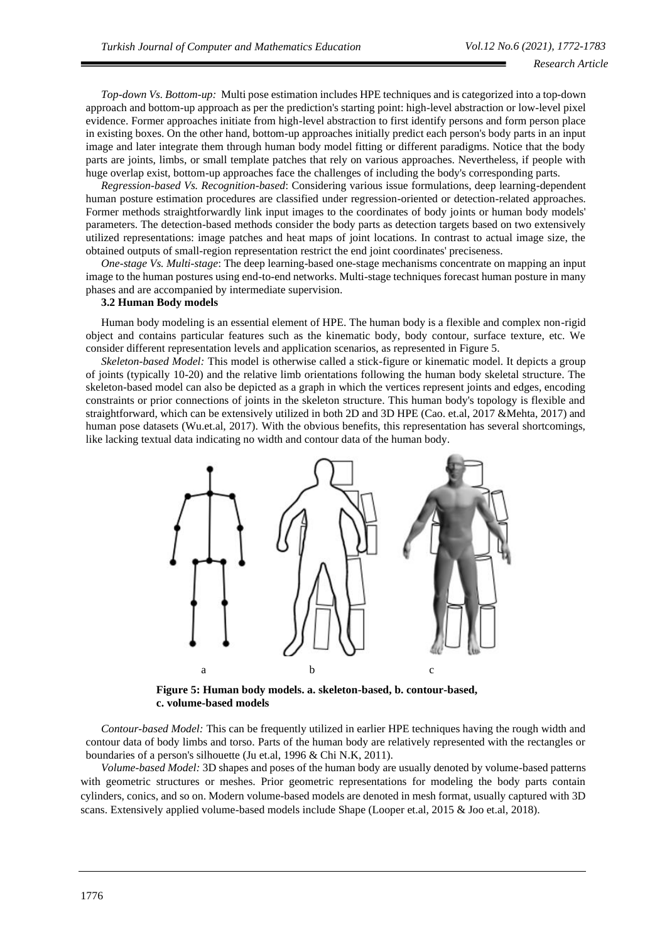*Top-down Vs. Bottom-up:* Multi pose estimation includes HPE techniques and is categorized into a top-down approach and bottom-up approach as per the prediction's starting point: high-level abstraction or low-level pixel evidence. Former approaches initiate from high-level abstraction to first identify persons and form person place in existing boxes. On the other hand, bottom-up approaches initially predict each person's body parts in an input image and later integrate them through human body model fitting or different paradigms. Notice that the body parts are joints, limbs, or small template patches that rely on various approaches. Nevertheless, if people with huge overlap exist, bottom-up approaches face the challenges of including the body's corresponding parts.

*Regression-based Vs. Recognition-based*: Considering various issue formulations, deep learning-dependent human posture estimation procedures are classified under regression-oriented or detection-related approaches. Former methods straightforwardly link input images to the coordinates of body joints or human body models' parameters. The detection-based methods consider the body parts as detection targets based on two extensively utilized representations: image patches and heat maps of joint locations. In contrast to actual image size, the obtained outputs of small-region representation restrict the end joint coordinates' preciseness.

*One-stage Vs. Multi-stage*: The deep learning-based one-stage mechanisms concentrate on mapping an input image to the human postures using end-to-end networks. Multi-stage techniques forecast human posture in many phases and are accompanied by intermediate supervision.

#### **3.2 Human Body models**

Human body modeling is an essential element of HPE. The human body is a flexible and complex non-rigid object and contains particular features such as the kinematic body, body contour, surface texture, etc. We consider different representation levels and application scenarios, as represented in Figure 5.

*Skeleton-based Model:* This model is otherwise called a stick-figure or kinematic model. It depicts a group of joints (typically 10-20) and the relative limb orientations following the human body skeletal structure. The skeleton-based model can also be depicted as a graph in which the vertices represent joints and edges, encoding constraints or prior connections of joints in the skeleton structure. This human body's topology is flexible and straightforward, which can be extensively utilized in both 2D and 3D HPE (Cao. et.al, 2017 &Mehta, 2017) and human pose datasets (Wu.et.al, 2017). With the obvious benefits, this representation has several shortcomings, like lacking textual data indicating no width and contour data of the human body.



**Figure 5: Human body models. a. skeleton-based, b. contour-based, c. volume-based models**

*Contour-based Model:* This can be frequently utilized in earlier HPE techniques having the rough width and contour data of body limbs and torso. Parts of the human body are relatively represented with the rectangles or boundaries of a person's silhouette (Ju et.al, 1996 & Chi N.K, 2011).

*Volume-based Model:* 3D shapes and poses of the human body are usually denoted by volume-based patterns with geometric structures or meshes. Prior geometric representations for modeling the body parts contain cylinders, conics, and so on. Modern volume-based models are denoted in mesh format, usually captured with 3D scans. Extensively applied volume-based models include Shape (Looper et.al, 2015 & Joo et.al, 2018).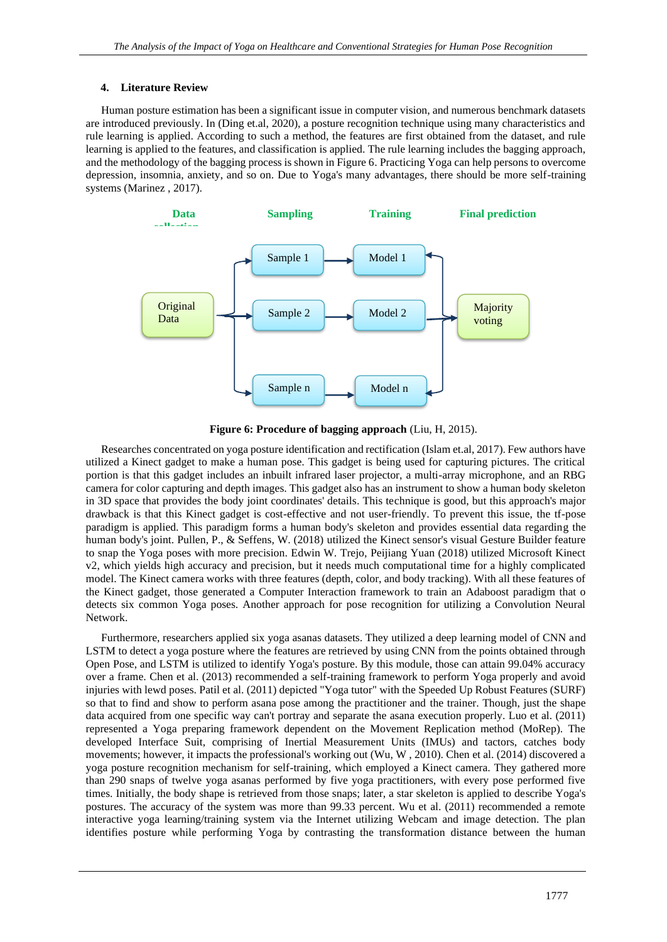## **4. Literature Review**

Human posture estimation has been a significant issue in computer vision, and numerous benchmark datasets are introduced previously. In (Ding et.al, 2020), a posture recognition technique using many characteristics and rule learning is applied. According to such a method, the features are first obtained from the dataset, and rule learning is applied to the features, and classification is applied. The rule learning includes the bagging approach, and the methodology of the bagging process is shown in Figure 6. Practicing Yoga can help persons to overcome depression, insomnia, anxiety, and so on. Due to Yoga's many advantages, there should be more self-training systems (Marinez , 2017).



**Figure 6: Procedure of bagging approach** (Liu, H, 2015).

Researches concentrated on yoga posture identification and rectification (Islam et.al, 2017). Few authors have utilized a Kinect gadget to make a human pose. This gadget is being used for capturing pictures. The critical portion is that this gadget includes an inbuilt infrared laser projector, a multi-array microphone, and an RBG camera for color capturing and depth images. This gadget also has an instrument to show a human body skeleton in 3D space that provides the body joint coordinates' details. This technique is good, but this approach's major drawback is that this Kinect gadget is cost-effective and not user-friendly. To prevent this issue, the tf-pose paradigm is applied. This paradigm forms a human body's skeleton and provides essential data regarding the human body's joint. Pullen, P., & Seffens, W. (2018) utilized the Kinect sensor's visual Gesture Builder feature to snap the Yoga poses with more precision. Edwin W. Trejo, Peijiang Yuan (2018) utilized Microsoft Kinect v2, which yields high accuracy and precision, but it needs much computational time for a highly complicated model. The Kinect camera works with three features (depth, color, and body tracking). With all these features of the Kinect gadget, those generated a Computer Interaction framework to train an Adaboost paradigm that o detects six common Yoga poses. Another approach for pose recognition for utilizing a Convolution Neural Network.

Furthermore, researchers applied six yoga asanas datasets. They utilized a deep learning model of CNN and LSTM to detect a yoga posture where the features are retrieved by using CNN from the points obtained through Open Pose, and LSTM is utilized to identify Yoga's posture. By this module, those can attain 99.04% accuracy over a frame. Chen et al. (2013) recommended a self-training framework to perform Yoga properly and avoid injuries with lewd poses. Patil et al. (2011) depicted "Yoga tutor" with the Speeded Up Robust Features (SURF) so that to find and show to perform asana pose among the practitioner and the trainer. Though, just the shape data acquired from one specific way can't portray and separate the asana execution properly. Luo et al. (2011) represented a Yoga preparing framework dependent on the Movement Replication method (MoRep). The developed Interface Suit, comprising of Inertial Measurement Units (IMUs) and tactors, catches body movements; however, it impacts the professional's working out (Wu, W , 2010). Chen et al. (2014) discovered a yoga posture recognition mechanism for self-training, which employed a Kinect camera. They gathered more than 290 snaps of twelve yoga asanas performed by five yoga practitioners, with every pose performed five times. Initially, the body shape is retrieved from those snaps; later, a star skeleton is applied to describe Yoga's postures. The accuracy of the system was more than 99.33 percent. Wu et al. (2011) recommended a remote interactive yoga learning/training system via the Internet utilizing Webcam and image detection. The plan identifies posture while performing Yoga by contrasting the transformation distance between the human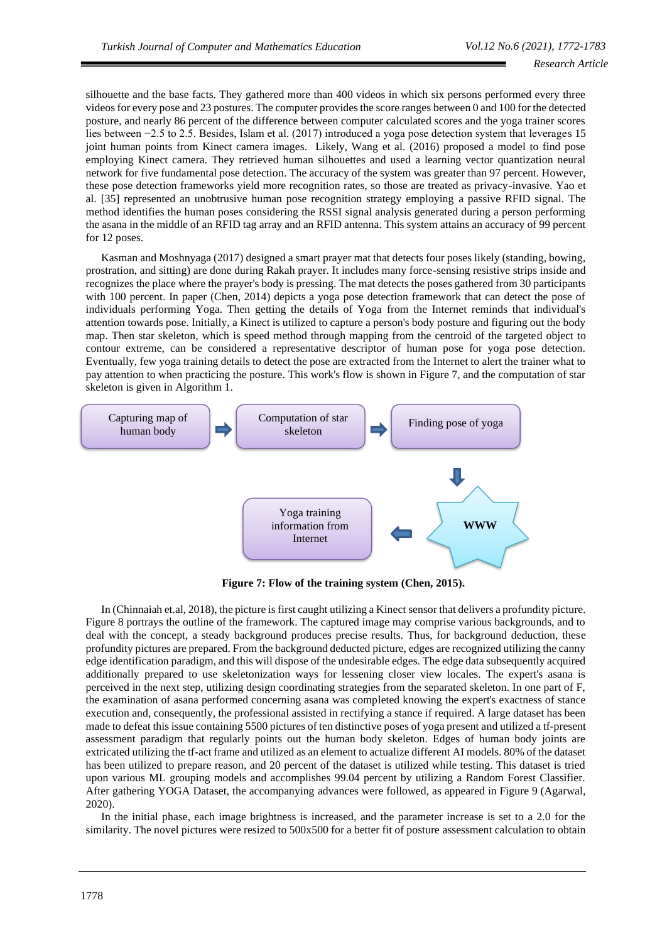silhouette and the base facts. They gathered more than 400 videos in which six persons performed every three videos for every pose and 23 postures. The computer provides the score ranges between 0 and 100 for the detected posture, and nearly 86 percent of the difference between computer calculated scores and the yoga trainer scores lies between −2.5 to 2.5. Besides, Islam et al. (2017) introduced a yoga pose detection system that leverages 15 joint human points from Kinect camera images. Likely, Wang et al. (2016) proposed a model to find pose employing Kinect camera. They retrieved human silhouettes and used a learning vector quantization neural network for five fundamental pose detection. The accuracy of the system was greater than 97 percent. However, these pose detection frameworks yield more recognition rates, so those are treated as privacy-invasive. Yao et al. [35] represented an unobtrusive human pose recognition strategy employing a passive RFID signal. The method identifies the human poses considering the RSSI signal analysis generated during a person performing the asana in the middle of an RFID tag array and an RFID antenna. This system attains an accuracy of 99 percent for 12 poses.

Kasman and Moshnyaga (2017) designed a smart prayer mat that detects four poses likely (standing, bowing, prostration, and sitting) are done during Rakah prayer. It includes many force-sensing resistive strips inside and recognizes the place where the prayer's body is pressing. The mat detects the poses gathered from 30 participants with 100 percent. In paper (Chen, 2014) depicts a yoga pose detection framework that can detect the pose of individuals performing Yoga. Then getting the details of Yoga from the Internet reminds that individual's attention towards pose. Initially, a Kinect is utilized to capture a person's body posture and figuring out the body map. Then star skeleton, which is speed method through mapping from the centroid of the targeted object to contour extreme, can be considered a representative descriptor of human pose for yoga pose detection. Eventually, few yoga training details to detect the pose are extracted from the Internet to alert the trainer what to pay attention to when practicing the posture. This work's flow is shown in Figure 7, and the computation of star skeleton is given in Algorithm 1.



**Figure 7: Flow of the training system (Chen, 2015).**

In (Chinnaiah et.al, 2018), the picture is first caught utilizing a Kinect sensor that delivers a profundity picture. Figure 8 portrays the outline of the framework. The captured image may comprise various backgrounds, and to deal with the concept, a steady background produces precise results. Thus, for background deduction, these profundity pictures are prepared. From the background deducted picture, edges are recognized utilizing the canny edge identification paradigm, and this will dispose of the undesirable edges. The edge data subsequently acquired additionally prepared to use skeletonization ways for lessening closer view locales. The expert's asana is perceived in the next step, utilizing design coordinating strategies from the separated skeleton. In one part of F, the examination of asana performed concerning asana was completed knowing the expert's exactness of stance execution and, consequently, the professional assisted in rectifying a stance if required. A large dataset has been made to defeat this issue containing 5500 pictures of ten distinctive poses of yoga present and utilized a tf-present assessment paradigm that regularly points out the human body skeleton. Edges of human body joints are extricated utilizing the tf-act frame and utilized as an element to actualize different AI models. 80% of the dataset has been utilized to prepare reason, and 20 percent of the dataset is utilized while testing. This dataset is tried upon various ML grouping models and accomplishes 99.04 percent by utilizing a Random Forest Classifier. After gathering YOGA Dataset, the accompanying advances were followed, as appeared in Figure 9 (Agarwal, 2020).

In the initial phase, each image brightness is increased, and the parameter increase is set to a 2.0 for the similarity. The novel pictures were resized to 500x500 for a better fit of posture assessment calculation to obtain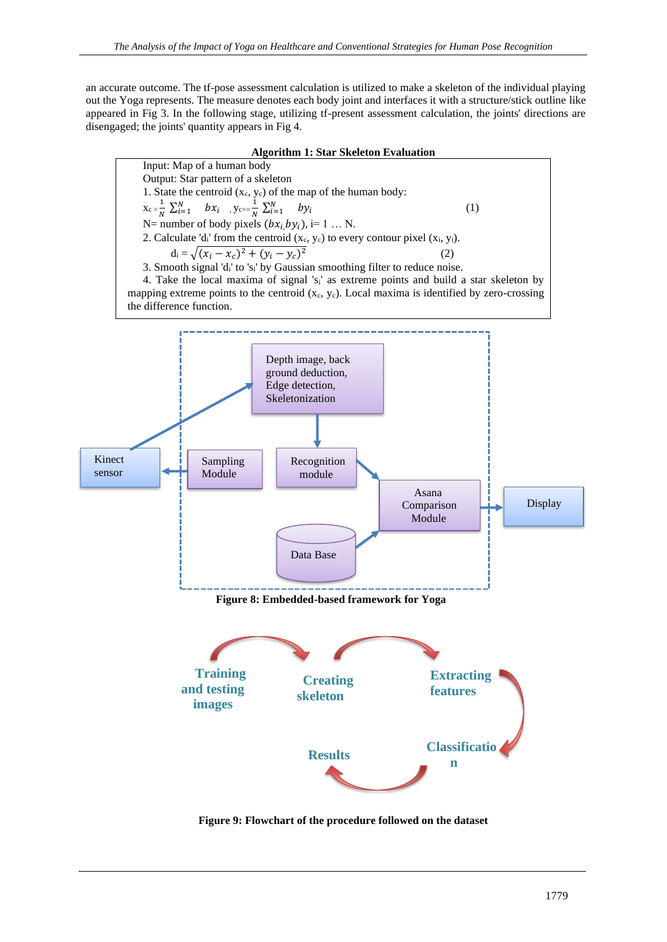an accurate outcome. The tf-pose assessment calculation is utilized to make a skeleton of the individual playing out the Yoga represents. The measure denotes each body joint and interfaces it with a structure/stick outline like appeared in Fig 3. In the following stage, utilizing tf-present assessment calculation, the joints' directions are disengaged; the joints' quantity appears in Fig 4.

## **Algorithm 1: Star Skeleton Evaluation**



**Figure 9: Flowchart of the procedure followed on the dataset**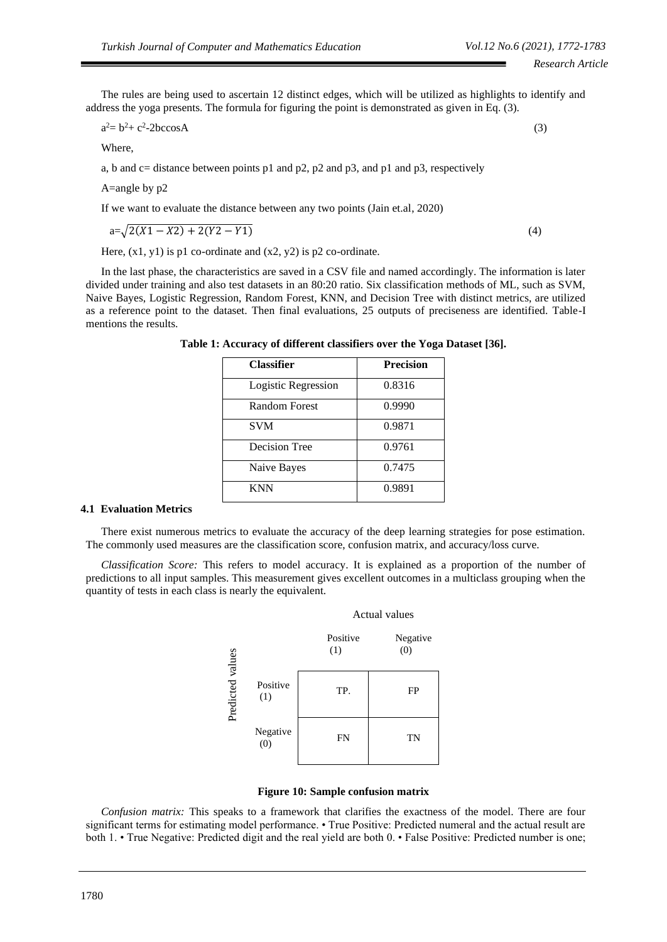The rules are being used to ascertain 12 distinct edges, which will be utilized as highlights to identify and address the yoga presents. The formula for figuring the point is demonstrated as given in Eq. (3).

$$
a^2 = b^2 + c^2 - 2bc \cos A \tag{3}
$$

Where,

a, b and c= distance between points p1 and p2, p2 and p3, and p1 and p3, respectively

A=angle by p2

If we want to evaluate the distance between any two points (Jain et.al, 2020)

$$
a = \sqrt{2(X1 - X2) + 2(Y2 - Y1)}
$$
\n(4)

Here,  $(x1, y1)$  is p1 co-ordinate and  $(x2, y2)$  is p2 co-ordinate.

In the last phase, the characteristics are saved in a CSV file and named accordingly. The information is later divided under training and also test datasets in an 80:20 ratio. Six classification methods of ML, such as SVM, Naive Bayes, Logistic Regression, Random Forest, KNN, and Decision Tree with distinct metrics, are utilized as a reference point to the dataset. Then final evaluations, 25 outputs of preciseness are identified. Table-I mentions the results.

**Table 1: Accuracy of different classifiers over the Yoga Dataset [36].**

| <b>Classifier</b>   | <b>Precision</b> |
|---------------------|------------------|
| Logistic Regression | 0.8316           |
| Random Forest       | 0.9990           |
| <b>SVM</b>          | 0.9871           |
| Decision Tree       | 0.9761           |
| Naive Bayes         | 0.7475           |
| <b>KNN</b>          | 0.9891           |

## **4.1 Evaluation Metrics**

There exist numerous metrics to evaluate the accuracy of the deep learning strategies for pose estimation. The commonly used measures are the classification score, confusion matrix, and accuracy/loss curve.

*Classification Score:* This refers to model accuracy. It is explained as a proportion of the number of predictions to all input samples. This measurement gives excellent outcomes in a multiclass grouping when the quantity of tests in each class is nearly the equivalent.



#### **Figure 10: Sample confusion matrix**

*Confusion matrix:* This speaks to a framework that clarifies the exactness of the model. There are four significant terms for estimating model performance. • True Positive: Predicted numeral and the actual result are both 1. • True Negative: Predicted digit and the real yield are both 0. • False Positive: Predicted number is one;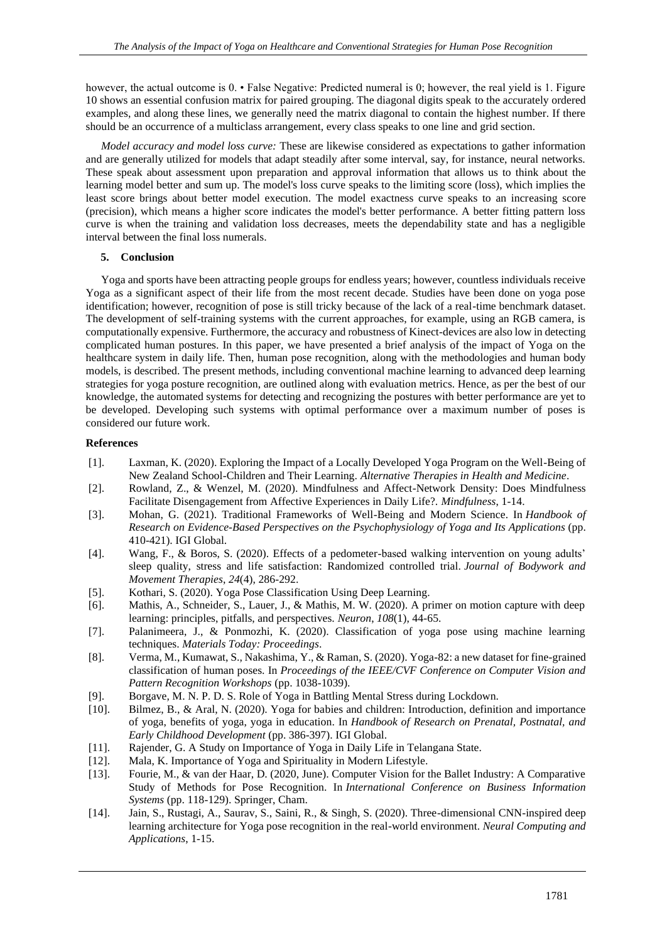however, the actual outcome is  $0.$  • False Negative: Predicted numeral is 0; however, the real yield is 1. Figure 10 shows an essential confusion matrix for paired grouping. The diagonal digits speak to the accurately ordered examples, and along these lines, we generally need the matrix diagonal to contain the highest number. If there should be an occurrence of a multiclass arrangement, every class speaks to one line and grid section.

*Model accuracy and model loss curve:* These are likewise considered as expectations to gather information and are generally utilized for models that adapt steadily after some interval, say, for instance, neural networks. These speak about assessment upon preparation and approval information that allows us to think about the learning model better and sum up. The model's loss curve speaks to the limiting score (loss), which implies the least score brings about better model execution. The model exactness curve speaks to an increasing score (precision), which means a higher score indicates the model's better performance. A better fitting pattern loss curve is when the training and validation loss decreases, meets the dependability state and has a negligible interval between the final loss numerals.

#### **5. Conclusion**

Yoga and sports have been attracting people groups for endless years; however, countless individuals receive Yoga as a significant aspect of their life from the most recent decade. Studies have been done on yoga pose identification; however, recognition of pose is still tricky because of the lack of a real-time benchmark dataset. The development of self-training systems with the current approaches, for example, using an RGB camera, is computationally expensive. Furthermore, the accuracy and robustness of Kinect-devices are also low in detecting complicated human postures. In this paper, we have presented a brief analysis of the impact of Yoga on the healthcare system in daily life. Then, human pose recognition, along with the methodologies and human body models, is described. The present methods, including conventional machine learning to advanced deep learning strategies for yoga posture recognition, are outlined along with evaluation metrics. Hence, as per the best of our knowledge, the automated systems for detecting and recognizing the postures with better performance are yet to be developed. Developing such systems with optimal performance over a maximum number of poses is considered our future work.

#### **References**

- [1]. Laxman, K. (2020). Exploring the Impact of a Locally Developed Yoga Program on the Well-Being of New Zealand School-Children and Their Learning. *Alternative Therapies in Health and Medicine*.
- [2]. Rowland, Z., & Wenzel, M. (2020). Mindfulness and Affect-Network Density: Does Mindfulness Facilitate Disengagement from Affective Experiences in Daily Life?. *Mindfulness*, 1-14.
- [3]. Mohan, G. (2021). Traditional Frameworks of Well-Being and Modern Science. In *Handbook of Research on Evidence-Based Perspectives on the Psychophysiology of Yoga and Its Applications* (pp. 410-421). IGI Global.
- [4]. Wang, F., & Boros, S. (2020). Effects of a pedometer-based walking intervention on young adults' sleep quality, stress and life satisfaction: Randomized controlled trial. *Journal of Bodywork and Movement Therapies*, *24*(4), 286-292.
- [5]. Kothari, S. (2020). Yoga Pose Classification Using Deep Learning.
- [6]. Mathis, A., Schneider, S., Lauer, J., & Mathis, M. W. (2020). A primer on motion capture with deep learning: principles, pitfalls, and perspectives. *Neuron*, *108*(1), 44-65.
- [7]. Palanimeera, J., & Ponmozhi, K. (2020). Classification of yoga pose using machine learning techniques. *Materials Today: Proceedings*.
- [8]. Verma, M., Kumawat, S., Nakashima, Y., & Raman, S. (2020). Yoga-82: a new dataset for fine-grained classification of human poses. In *Proceedings of the IEEE/CVF Conference on Computer Vision and Pattern Recognition Workshops* (pp. 1038-1039).
- [9]. Borgave, M. N. P. D. S. Role of Yoga in Battling Mental Stress during Lockdown.
- [10]. Bilmez, B., & Aral, N. (2020). Yoga for babies and children: Introduction, definition and importance of yoga, benefits of yoga, yoga in education. In *Handbook of Research on Prenatal, Postnatal, and Early Childhood Development* (pp. 386-397). IGI Global.
- [11]. Rajender, G. A Study on Importance of Yoga in Daily Life in Telangana State.
- [12]. Mala, K. Importance of Yoga and Spirituality in Modern Lifestyle.
- [13]. Fourie, M., & van der Haar, D. (2020, June). Computer Vision for the Ballet Industry: A Comparative Study of Methods for Pose Recognition. In *International Conference on Business Information Systems* (pp. 118-129). Springer, Cham.
- [14]. Jain, S., Rustagi, A., Saurav, S., Saini, R., & Singh, S. (2020). Three-dimensional CNN-inspired deep learning architecture for Yoga pose recognition in the real-world environment. *Neural Computing and Applications*, 1-15.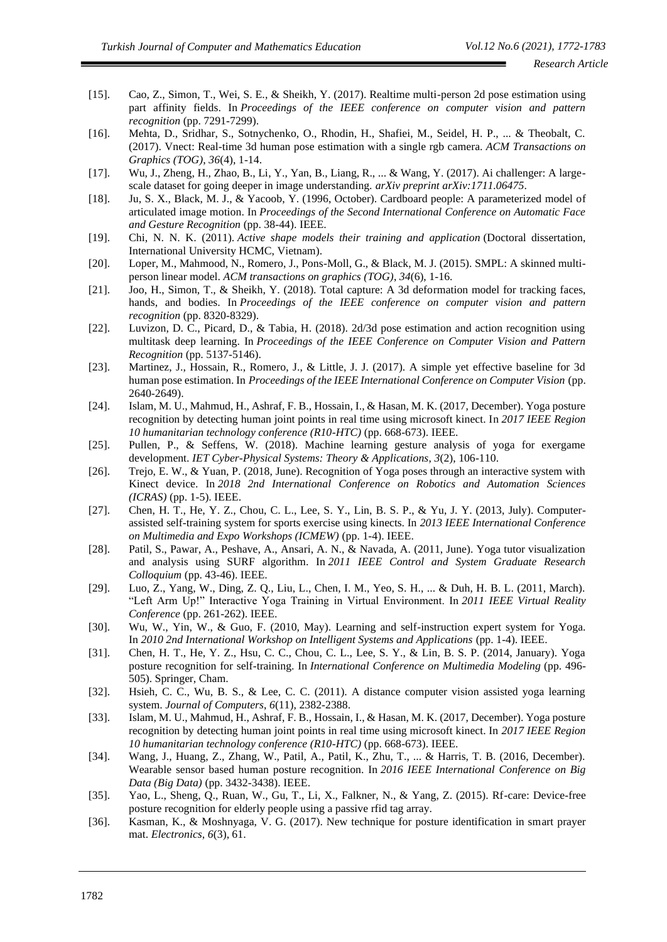- [15]. Cao, Z., Simon, T., Wei, S. E., & Sheikh, Y. (2017). Realtime multi-person 2d pose estimation using part affinity fields. In *Proceedings of the IEEE conference on computer vision and pattern recognition* (pp. 7291-7299).
- [16]. Mehta, D., Sridhar, S., Sotnychenko, O., Rhodin, H., Shafiei, M., Seidel, H. P., ... & Theobalt, C. (2017). Vnect: Real-time 3d human pose estimation with a single rgb camera. *ACM Transactions on Graphics (TOG)*, *36*(4), 1-14.
- [17]. Wu, J., Zheng, H., Zhao, B., Li, Y., Yan, B., Liang, R., ... & Wang, Y. (2017). Ai challenger: A largescale dataset for going deeper in image understanding. *arXiv preprint arXiv:1711.06475*.
- [18]. Ju, S. X., Black, M. J., & Yacoob, Y. (1996, October). Cardboard people: A parameterized model of articulated image motion. In *Proceedings of the Second International Conference on Automatic Face and Gesture Recognition* (pp. 38-44). IEEE.
- [19]. Chi, N. N. K. (2011). *Active shape models their training and application* (Doctoral dissertation, International University HCMC, Vietnam).
- [20]. Loper, M., Mahmood, N., Romero, J., Pons-Moll, G., & Black, M. J. (2015). SMPL: A skinned multiperson linear model. *ACM transactions on graphics (TOG)*, *34*(6), 1-16.
- [21]. Joo, H., Simon, T., & Sheikh, Y. (2018). Total capture: A 3d deformation model for tracking faces, hands, and bodies. In *Proceedings of the IEEE conference on computer vision and pattern recognition* (pp. 8320-8329).
- [22]. Luvizon, D. C., Picard, D., & Tabia, H. (2018). 2d/3d pose estimation and action recognition using multitask deep learning. In *Proceedings of the IEEE Conference on Computer Vision and Pattern Recognition* (pp. 5137-5146).
- [23]. Martinez, J., Hossain, R., Romero, J., & Little, J. J. (2017). A simple yet effective baseline for 3d human pose estimation. In *Proceedings of the IEEE International Conference on Computer Vision* (pp. 2640-2649).
- [24]. Islam, M. U., Mahmud, H., Ashraf, F. B., Hossain, I., & Hasan, M. K. (2017, December). Yoga posture recognition by detecting human joint points in real time using microsoft kinect. In *2017 IEEE Region 10 humanitarian technology conference (R10-HTC)* (pp. 668-673). IEEE.
- [25]. Pullen, P., & Seffens, W. (2018). Machine learning gesture analysis of yoga for exergame development. *IET Cyber-Physical Systems: Theory & Applications*, *3*(2), 106-110.
- [26]. Trejo, E. W., & Yuan, P. (2018, June). Recognition of Yoga poses through an interactive system with Kinect device. In *2018 2nd International Conference on Robotics and Automation Sciences (ICRAS)* (pp. 1-5). IEEE.
- [27]. Chen, H. T., He, Y. Z., Chou, C. L., Lee, S. Y., Lin, B. S. P., & Yu, J. Y. (2013, July). Computerassisted self-training system for sports exercise using kinects. In *2013 IEEE International Conference on Multimedia and Expo Workshops (ICMEW)* (pp. 1-4). IEEE.
- [28]. Patil, S., Pawar, A., Peshave, A., Ansari, A. N., & Navada, A. (2011, June). Yoga tutor visualization and analysis using SURF algorithm. In *2011 IEEE Control and System Graduate Research Colloquium* (pp. 43-46). IEEE.
- [29]. Luo, Z., Yang, W., Ding, Z. Q., Liu, L., Chen, I. M., Yeo, S. H., ... & Duh, H. B. L. (2011, March). "Left Arm Up!" Interactive Yoga Training in Virtual Environment. In *2011 IEEE Virtual Reality Conference* (pp. 261-262). IEEE.
- [30]. Wu, W., Yin, W., & Guo, F. (2010, May). Learning and self-instruction expert system for Yoga. In *2010 2nd International Workshop on Intelligent Systems and Applications* (pp. 1-4). IEEE.
- [31]. Chen, H. T., He, Y. Z., Hsu, C. C., Chou, C. L., Lee, S. Y., & Lin, B. S. P. (2014, January). Yoga posture recognition for self-training. In *International Conference on Multimedia Modeling* (pp. 496- 505). Springer, Cham.
- [32]. Hsieh, C. C., Wu, B. S., & Lee, C. C. (2011). A distance computer vision assisted yoga learning system. *Journal of Computers*, *6*(11), 2382-2388.
- [33]. Islam, M. U., Mahmud, H., Ashraf, F. B., Hossain, I., & Hasan, M. K. (2017, December). Yoga posture recognition by detecting human joint points in real time using microsoft kinect. In *2017 IEEE Region 10 humanitarian technology conference (R10-HTC)* (pp. 668-673). IEEE.
- [34]. Wang, J., Huang, Z., Zhang, W., Patil, A., Patil, K., Zhu, T., ... & Harris, T. B. (2016, December). Wearable sensor based human posture recognition. In *2016 IEEE International Conference on Big Data (Big Data)* (pp. 3432-3438). IEEE.
- [35]. Yao, L., Sheng, Q., Ruan, W., Gu, T., Li, X., Falkner, N., & Yang, Z. (2015). Rf-care: Device-free posture recognition for elderly people using a passive rfid tag array.
- [36]. Kasman, K., & Moshnyaga, V. G. (2017). New technique for posture identification in smart prayer mat. *Electronics*, *6*(3), 61.